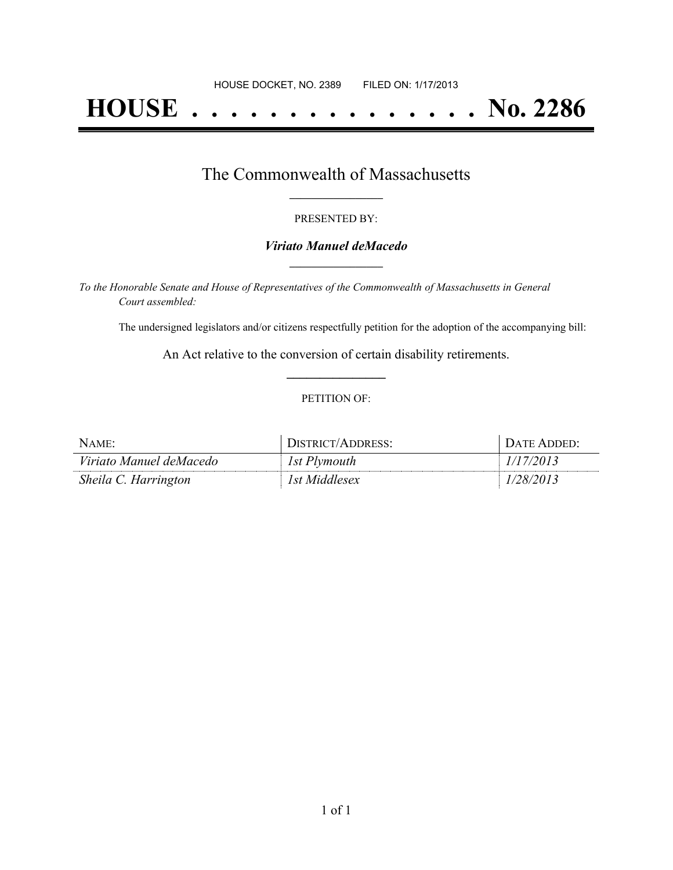# **HOUSE . . . . . . . . . . . . . . . No. 2286**

## The Commonwealth of Massachusetts **\_\_\_\_\_\_\_\_\_\_\_\_\_\_\_\_\_**

#### PRESENTED BY:

#### *Viriato Manuel deMacedo* **\_\_\_\_\_\_\_\_\_\_\_\_\_\_\_\_\_**

*To the Honorable Senate and House of Representatives of the Commonwealth of Massachusetts in General Court assembled:*

The undersigned legislators and/or citizens respectfully petition for the adoption of the accompanying bill:

An Act relative to the conversion of certain disability retirements. **\_\_\_\_\_\_\_\_\_\_\_\_\_\_\_**

#### PETITION OF:

| $N$ AME:                | DISTRICT/ADDRESS: | . Date Added: |
|-------------------------|-------------------|---------------|
| Viriato Manuel deMacedo | 1st Plymouth      | 1/17/2013     |
| Sheila C. Harrington    | 1st Middlesex     | 1/28/2013     |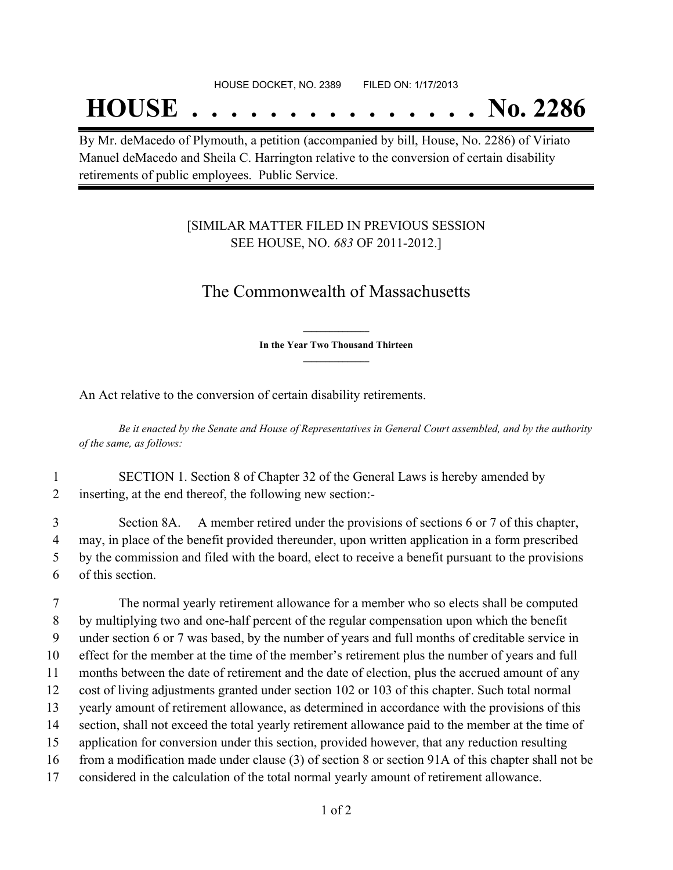## **HOUSE . . . . . . . . . . . . . . . No. 2286**

By Mr. deMacedo of Plymouth, a petition (accompanied by bill, House, No. 2286) of Viriato Manuel deMacedo and Sheila C. Harrington relative to the conversion of certain disability retirements of public employees. Public Service.

### [SIMILAR MATTER FILED IN PREVIOUS SESSION SEE HOUSE, NO. *683* OF 2011-2012.]

## The Commonwealth of Massachusetts

**\_\_\_\_\_\_\_\_\_\_\_\_\_\_\_ In the Year Two Thousand Thirteen \_\_\_\_\_\_\_\_\_\_\_\_\_\_\_**

An Act relative to the conversion of certain disability retirements.

Be it enacted by the Senate and House of Representatives in General Court assembled, and by the authority *of the same, as follows:*

1 SECTION 1. Section 8 of Chapter 32 of the General Laws is hereby amended by 2 inserting, at the end thereof, the following new section:-

 Section 8A. A member retired under the provisions of sections 6 or 7 of this chapter, may, in place of the benefit provided thereunder, upon written application in a form prescribed by the commission and filed with the board, elect to receive a benefit pursuant to the provisions of this section.

 The normal yearly retirement allowance for a member who so elects shall be computed by multiplying two and one-half percent of the regular compensation upon which the benefit under section 6 or 7 was based, by the number of years and full months of creditable service in effect for the member at the time of the member's retirement plus the number of years and full months between the date of retirement and the date of election, plus the accrued amount of any cost of living adjustments granted under section 102 or 103 of this chapter. Such total normal yearly amount of retirement allowance, as determined in accordance with the provisions of this section, shall not exceed the total yearly retirement allowance paid to the member at the time of application for conversion under this section, provided however, that any reduction resulting from a modification made under clause (3) of section 8 or section 91A of this chapter shall not be considered in the calculation of the total normal yearly amount of retirement allowance.